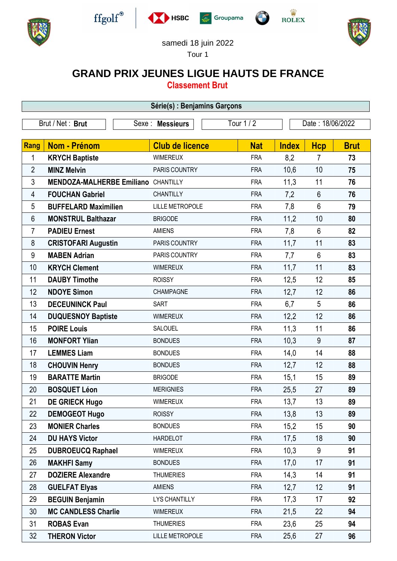











samedi 18 juin 2022

Tour 1

## **GRAND PRIX JEUNES LIGUE HAUTS DE FRANCE**

**Classement Brut**

| Série(s) : Benjamins Garçons |                                            |                                |                        |            |                  |                |             |  |  |  |
|------------------------------|--------------------------------------------|--------------------------------|------------------------|------------|------------------|----------------|-------------|--|--|--|
| Brut / Net: Brut             |                                            | Tour 1 / 2<br>Sexe : Messieurs |                        |            | Date: 18/06/2022 |                |             |  |  |  |
|                              |                                            |                                |                        |            |                  |                |             |  |  |  |
| Rang                         | Nom - Prénom                               |                                | <b>Club de licence</b> | <b>Nat</b> | <b>Index</b>     | <b>Hcp</b>     | <b>Brut</b> |  |  |  |
| 1                            | <b>KRYCH Baptiste</b>                      |                                | <b>WIMEREUX</b>        | <b>FRA</b> | 8,2              | $\overline{7}$ | 73          |  |  |  |
| $\overline{2}$               | <b>MINZ Melvin</b>                         |                                | PARIS COUNTRY          | <b>FRA</b> | 10,6             | 10             | 75          |  |  |  |
| 3                            | <b>MENDOZA-MALHERBE Emiliano CHANTILLY</b> |                                |                        | <b>FRA</b> | 11,3             | 11             | 76          |  |  |  |
| 4                            | <b>FOUCHAN Gabriel</b>                     |                                | <b>CHANTILLY</b>       | <b>FRA</b> | 7,2              | $6\phantom{1}$ | 76          |  |  |  |
| 5                            | <b>BUFFELARD Maximilien</b>                |                                | <b>LILLE METROPOLE</b> | <b>FRA</b> | 7,8              | $6\phantom{1}$ | 79          |  |  |  |
| 6                            | <b>MONSTRUL Balthazar</b>                  |                                | <b>BRIGODE</b>         | <b>FRA</b> | 11,2             | 10             | 80          |  |  |  |
| 7                            | <b>PADIEU Ernest</b>                       |                                | <b>AMIENS</b>          | <b>FRA</b> | 7,8              | $6\phantom{1}$ | 82          |  |  |  |
| 8                            | <b>CRISTOFARI Augustin</b>                 |                                | PARIS COUNTRY          | <b>FRA</b> | 11,7             | 11             | 83          |  |  |  |
| 9                            | <b>MABEN Adrian</b>                        |                                | PARIS COUNTRY          | <b>FRA</b> | 7,7              | $6\phantom{1}$ | 83          |  |  |  |
| 10                           | <b>KRYCH Clement</b>                       |                                | <b>WIMEREUX</b>        | <b>FRA</b> | 11,7             | 11             | 83          |  |  |  |
| 11                           | <b>DAUBY Timothe</b>                       |                                | <b>ROISSY</b>          | <b>FRA</b> | 12,5             | 12             | 85          |  |  |  |
| 12                           | <b>NDOYE Simon</b>                         |                                | <b>CHAMPAGNE</b>       | <b>FRA</b> | 12,7             | 12             | 86          |  |  |  |
| 13                           | <b>DECEUNINCK Paul</b>                     |                                | <b>SART</b>            | <b>FRA</b> | 6,7              | 5              | 86          |  |  |  |
| 14                           | <b>DUQUESNOY Baptiste</b>                  |                                | <b>WIMEREUX</b>        | <b>FRA</b> | 12,2             | 12             | 86          |  |  |  |
| 15                           | <b>POIRE Louis</b>                         |                                | SALOUEL                | <b>FRA</b> | 11,3             | 11             | 86          |  |  |  |
| 16                           | <b>MONFORT Ylian</b>                       |                                | <b>BONDUES</b>         | <b>FRA</b> | 10,3             | 9              | 87          |  |  |  |
| 17                           | <b>LEMMES Liam</b>                         |                                | <b>BONDUES</b>         | <b>FRA</b> | 14,0             | 14             | 88          |  |  |  |
| 18                           | <b>CHOUVIN Henry</b>                       |                                | <b>BONDUES</b>         | <b>FRA</b> | 12,7             | 12             | 88          |  |  |  |
| 19                           | <b>BARATTE Martin</b>                      |                                | <b>BRIGODE</b>         | <b>FRA</b> | 15,1             | 15             | 89          |  |  |  |
| 20                           | <b>BOSQUET Léon</b>                        |                                | <b>MERIGNIES</b>       | <b>FRA</b> | 25,5             | 27             | 89          |  |  |  |
| 21                           | <b>DE GRIECK Hugo</b>                      |                                | WIMEREUX               | <b>FRA</b> | 13,7             | 13             | 89          |  |  |  |
| 22                           | <b>DEMOGEOT Hugo</b>                       |                                | <b>ROISSY</b>          | <b>FRA</b> | 13,8             | 13             | 89          |  |  |  |
| 23                           | <b>MONIER Charles</b>                      |                                | <b>BONDUES</b>         | <b>FRA</b> | 15,2             | 15             | 90          |  |  |  |
| 24                           | <b>DU HAYS Victor</b>                      |                                | <b>HARDELOT</b>        | <b>FRA</b> | 17,5             | 18             | 90          |  |  |  |
| 25                           | <b>DUBROEUCQ Raphael</b>                   |                                | <b>WIMEREUX</b>        | <b>FRA</b> | 10,3             | 9              | 91          |  |  |  |
| 26                           | <b>MAKHFI Samy</b>                         |                                | <b>BONDUES</b>         | <b>FRA</b> | 17,0             | 17             | 91          |  |  |  |
| 27                           | <b>DOZIERE Alexandre</b>                   |                                | <b>THUMERIES</b>       | <b>FRA</b> | 14,3             | 14             | 91          |  |  |  |
| 28                           | <b>GUELFAT Elyas</b>                       |                                | <b>AMIENS</b>          | <b>FRA</b> | 12,7             | 12             | 91          |  |  |  |
| 29                           | <b>BEGUIN Benjamin</b>                     |                                | <b>LYS CHANTILLY</b>   | <b>FRA</b> | 17,3             | 17             | 92          |  |  |  |
| 30                           | <b>MC CANDLESS Charlie</b>                 |                                | <b>WIMEREUX</b>        | <b>FRA</b> | 21,5             | 22             | 94          |  |  |  |
| 31                           | <b>ROBAS Evan</b>                          |                                | <b>THUMERIES</b>       | <b>FRA</b> | 23,6             | 25             | 94          |  |  |  |
| 32                           | <b>THERON Victor</b>                       |                                | <b>LILLE METROPOLE</b> | <b>FRA</b> | 25,6             | 27             | 96          |  |  |  |